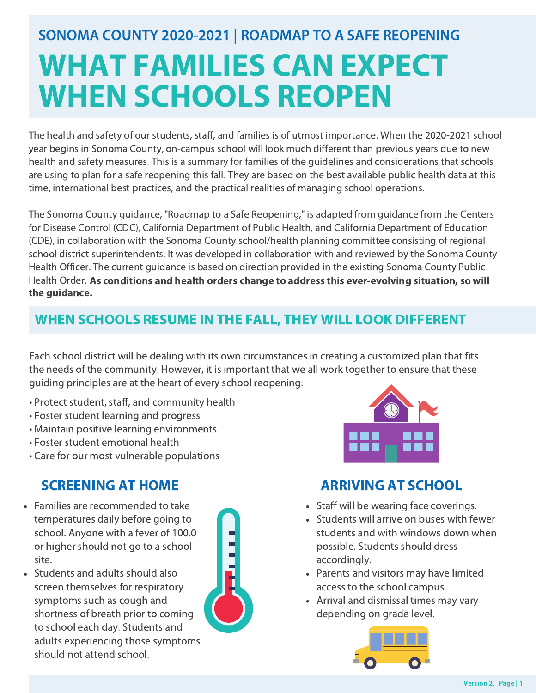# SONOMA COUNTY 2020-2021 | ROADMAP TO A SAFE REOPENING WHAT FAMILIES CAN EXPECT WHEN SCHOOLS REOPEN

The health and safety of our students, staff, and families is of utmost importance. When the 2020-2021 school year begins in Sonoma County, on-campus school will look much different than previous years due to new health and safety measures. This is a summary for families of the guidelines and considerations that schools are using to plan for a safe reopening this fall. They are based on the best available public health data at this time, international best practices, and the practical realities of managing school operations.

The Sonoma County guidance, "Roadmap to a Safe Reopening," is adapted from guidance from the Centers for Disease Control (CDC), California Department of Public Health, and California Department of Education (CDE), in collaboration with the Sonoma County school/health planning committee consisting of regional school district superintendents. It was developed in collaboration with and reviewed by the Sonoma County Health Officer. The current guidance is based on direction provided in the existing Sonoma County Public Health Order. As conditions and health orders change to address this ever-evolving situation, so will the guidance<mark>.</mark>

## WHEN SCHOOLS RESUME IN THE FALL, THEY WILL LOOK DIFFERENT

Each school district will be dealing with its own circumstances in creating a customized plan that fits the needs of the community. However, it is important that we all work together to ensure that these guiding principles are at the heart of every school reopening:

- Protect student, staff, and community health
- Foster student learning and progress
- Maintain positive learning environments
- Foster student emotional health
- Care for our most vulnerable populations

- Families are recommended to take temperatures daily before going to school. Anyone with a fever of 100.0 or higher should not go to a school site.
- Students and adults should also screen themselves for respiratory symptoms such as cough and shortness of breath prior to coming to school each day. Students and adults experiencing those symptoms should not attend school.





### SCREENING AT HOME ARRIVING AT SCHOOL

- Staff will be wearing face coverings.
- Students will arrive on buses with fewer students and with windows down when possible. Students should dress accordingly.
- Parents and visitors may have limited access to the school campus.
- Arrival and dismissal times may vary depending on grade level.

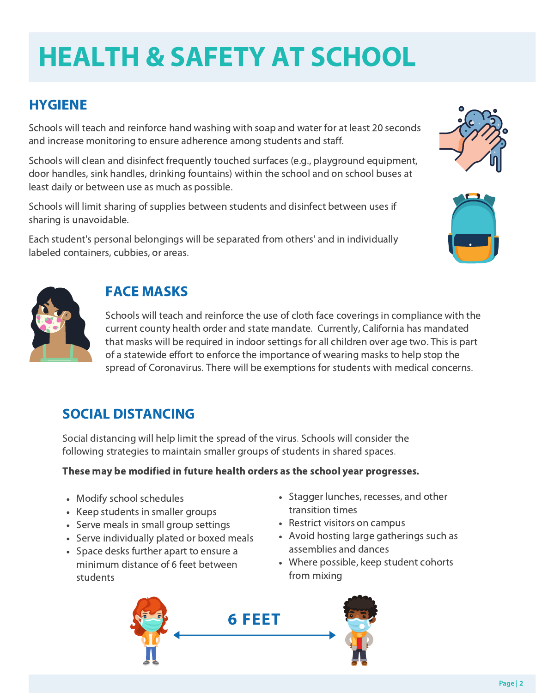# HEALTH & SAFETY AT SCHOOL

### **HYGIENE**

Schools will teach and reinforce hand washing with soap and water for at least 20 seconds and increase monitoring to ensure adherence among students and staff.

Schools will clean and disinfect frequently touched surfaces (e.g., playground equipment, door handles, sink handles, drinking fountains) within the school and on school buses at least daily or between use as much as possible.

Schools will limit sharing of supplies between students and disinfect between uses if sharing is unavoidable.

Each student's personal belongings will be separated from others' and in individually labeled containers, cubbies, or areas.







### FACE MASKS

Schools will teach and reinforce the use of cloth face coverings in compliance with the current county health order and state mandate. Currently, California has mandated that masks will be required in indoor settings for all children over age two. This is part of a statewide effort to enforce the importance of wearing masks to help stop the spread of Coronavirus. There will be exemptions for students with medical concerns.

# SOCIAL DISTANCING

Social distancing will help limit the spread of the virus. Schools will consider the following strategies to maintain smaller groups of students in shared spaces.

#### These may be modified in future health orders as the school year progresses.

- Modify school schedules
- Keep students in smaller groups
- Serve meals in small group settings
- Serve individually plated or boxed meals
- Space desks further apart to ensure a minimum distance of 6 feet between students
- Stagger lunches, recesses, and other transition times
- Restrict visitors on campus
- Avoid hosting large gatherings such as assemblies and dances
- Where possible, keep student cohorts from mixing

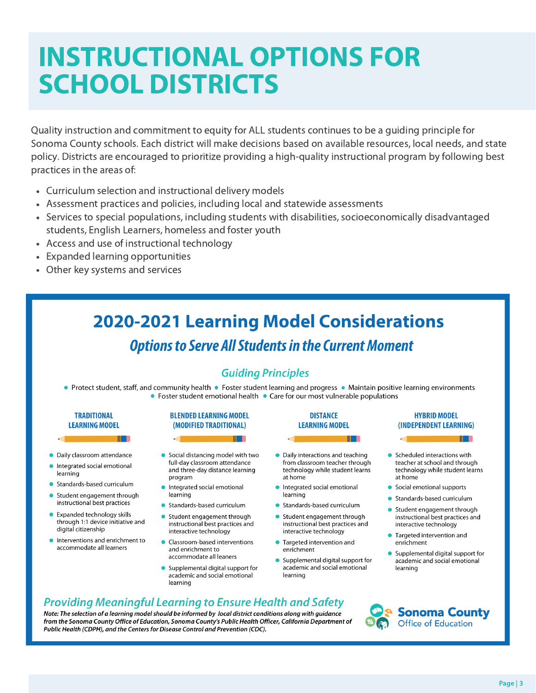# **INSTRUCTIONAL OPTIONS FOR SCHOOL DISTRICTS**

Quality instruction and commitment to equity for ALL students continues to be a quiding principle for Sonoma County schools. Each district will make decisions based on available resources, local needs, and state policy. Districts are encouraged to prioritize providing a high-quality instructional program by following best practices in the areas of:

- Curriculum selection and instructional delivery models
- Assessment practices and policies, including local and statewide assessments
- Services to special populations, including students with disabilities, socioeconomically disadvantaged students, English Learners, homeless and foster youth
- Access and use of instructional technology
- Expanded learning opportunities
- Other key systems and services

# **2020-2021 Learning Model Considerations Options to Serve All Students in the Current Moment**

### **Guiding Principles**

• Protect student, staff, and community health • Foster student learning and progress • Maintain positive learning environments • Foster student emotional health • Care for our most vulnerable populations

#### **TRADITIONAL LEARNING MODEL**

W T

- Daily classroom attendance
- Integrated social emotional learning
- Standards-based curriculum
- Student engagement through instructional best practices
- Expanded technology skills through 1:1 device initiative and digital citizenship
- Interventions and enrichment to accommodate all learners

#### **BLENDED LEARNING MODEL** (MODIFIED TRADITIONAL)

**THE REAL** 

#### Social distancing model with two full-day classroom attendance and three-day distance learning program

- Integrated social emotional learning
- Standards-based curriculum
- Student engagement through instructional best practices and interactive technology
- Classroom-based interventions and enrichment to accommodate all leaners
- Supplemental digital support for academic and social emotional learning

#### **DISTANCE LEARNING MODEL**

W T

- Daily interactions and teaching from classroom teacher through technology while student learns at home
- Integrated social emotional learning
- Standards-based curriculum
- Student engagement through instructional best practices and interactive technology
- Targeted intervention and enrichment
- Supplemental digital support for academic and social emotional learning

#### **HYBRID MODEL** (INDEPENDENT LEARNING)

II T

- Scheduled interactions with teacher at school and through technology while student learns at home
- Social emotional supports
- Standards-based curriculum
- Student engagement through instructional best practices and interactive technology
- Targeted intervention and enrichment
- Supplemental digital support for academic and social emotional learning

### **Providing Meaningful Learning to Ensure Health and Safety**

Note: The selection of a learning model should be informed by local district conditions along with quidance from the Sonoma County Office of Education, Sonoma County's Public Health Officer, California Department of Public Health (CDPH), and the Centers for Disease Control and Prevention (CDC).